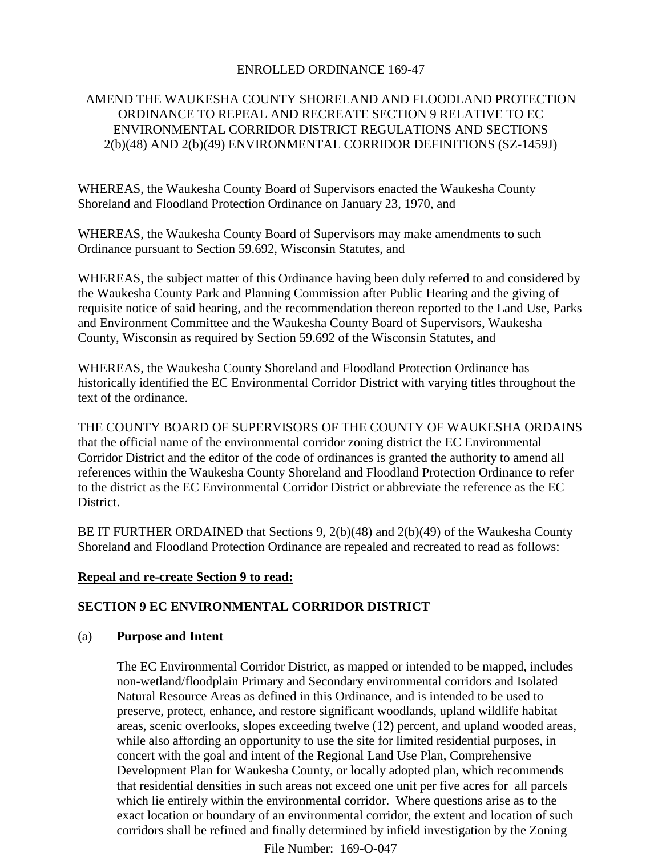## ENROLLED ORDINANCE 169-47

## AMEND THE WAUKESHA COUNTY SHORELAND AND FLOODLAND PROTECTION ORDINANCE TO REPEAL AND RECREATE SECTION 9 RELATIVE TO EC ENVIRONMENTAL CORRIDOR DISTRICT REGULATIONS AND SECTIONS 2(b)(48) AND 2(b)(49) ENVIRONMENTAL CORRIDOR DEFINITIONS (SZ-1459J)

WHEREAS, the Waukesha County Board of Supervisors enacted the Waukesha County Shoreland and Floodland Protection Ordinance on January 23, 1970, and

WHEREAS, the Waukesha County Board of Supervisors may make amendments to such Ordinance pursuant to Section 59.692, Wisconsin Statutes, and

WHEREAS, the subject matter of this Ordinance having been duly referred to and considered by the Waukesha County Park and Planning Commission after Public Hearing and the giving of requisite notice of said hearing, and the recommendation thereon reported to the Land Use, Parks and Environment Committee and the Waukesha County Board of Supervisors, Waukesha County, Wisconsin as required by Section 59.692 of the Wisconsin Statutes, and

WHEREAS, the Waukesha County Shoreland and Floodland Protection Ordinance has historically identified the EC Environmental Corridor District with varying titles throughout the text of the ordinance.

THE COUNTY BOARD OF SUPERVISORS OF THE COUNTY OF WAUKESHA ORDAINS that the official name of the environmental corridor zoning district the EC Environmental Corridor District and the editor of the code of ordinances is granted the authority to amend all references within the Waukesha County Shoreland and Floodland Protection Ordinance to refer to the district as the EC Environmental Corridor District or abbreviate the reference as the EC District.

BE IT FURTHER ORDAINED that Sections 9, 2(b)(48) and 2(b)(49) of the Waukesha County Shoreland and Floodland Protection Ordinance are repealed and recreated to read as follows:

#### **Repeal and re-create Section 9 to read:**

## **SECTION 9 EC ENVIRONMENTAL CORRIDOR DISTRICT**

#### (a) **Purpose and Intent**

The EC Environmental Corridor District, as mapped or intended to be mapped, includes non-wetland/floodplain Primary and Secondary environmental corridors and Isolated Natural Resource Areas as defined in this Ordinance, and is intended to be used to preserve, protect, enhance, and restore significant woodlands, upland wildlife habitat areas, scenic overlooks, slopes exceeding twelve (12) percent, and upland wooded areas, while also affording an opportunity to use the site for limited residential purposes, in concert with the goal and intent of the Regional Land Use Plan, Comprehensive Development Plan for Waukesha County, or locally adopted plan, which recommends that residential densities in such areas not exceed one unit per five acres for all parcels which lie entirely within the environmental corridor. Where questions arise as to the exact location or boundary of an environmental corridor, the extent and location of such corridors shall be refined and finally determined by infield investigation by the Zoning

File Number: 169-O-047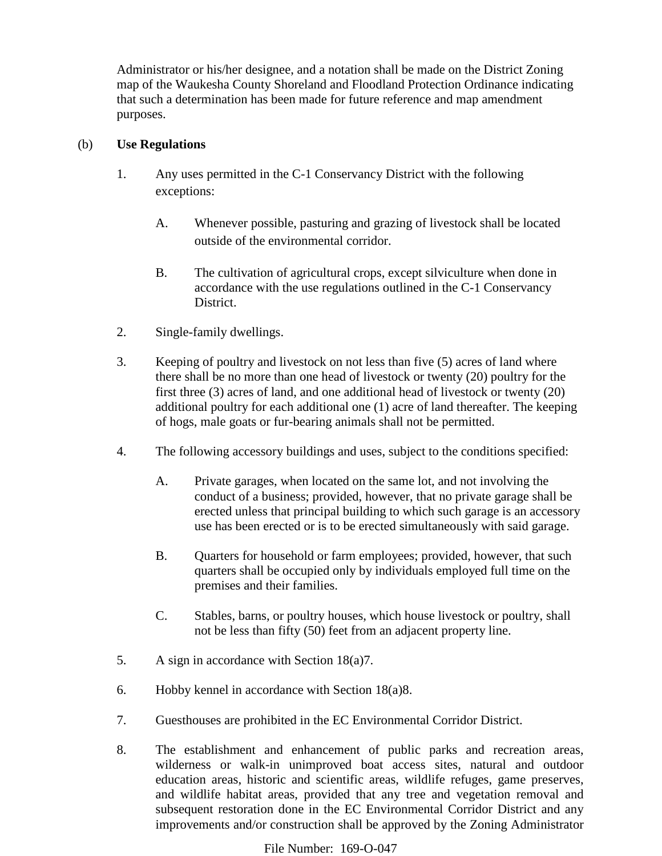Administrator or his/her designee, and a notation shall be made on the District Zoning map of the Waukesha County Shoreland and Floodland Protection Ordinance indicating that such a determination has been made for future reference and map amendment purposes.

# (b) **Use Regulations**

- 1. Any uses permitted in the C-1 Conservancy District with the following exceptions:
	- A. Whenever possible, pasturing and grazing of livestock shall be located outside of the environmental corridor.
	- B. The cultivation of agricultural crops, except silviculture when done in accordance with the use regulations outlined in the C-1 Conservancy District.
- 2. Single-family dwellings.
- 3. Keeping of poultry and livestock on not less than five (5) acres of land where there shall be no more than one head of livestock or twenty (20) poultry for the first three (3) acres of land, and one additional head of livestock or twenty (20) additional poultry for each additional one (1) acre of land thereafter. The keeping of hogs, male goats or fur-bearing animals shall not be permitted.
- 4. The following accessory buildings and uses, subject to the conditions specified:
	- A. Private garages, when located on the same lot, and not involving the conduct of a business; provided, however, that no private garage shall be erected unless that principal building to which such garage is an accessory use has been erected or is to be erected simultaneously with said garage.
	- B. Quarters for household or farm employees; provided, however, that such quarters shall be occupied only by individuals employed full time on the premises and their families.
	- C. Stables, barns, or poultry houses, which house livestock or poultry, shall not be less than fifty (50) feet from an adjacent property line.
- 5. A sign in accordance with Section 18(a)7.
- 6. Hobby kennel in accordance with Section 18(a)8.
- 7. Guesthouses are prohibited in the EC Environmental Corridor District.
- 8. The establishment and enhancement of public parks and recreation areas, wilderness or walk-in unimproved boat access sites, natural and outdoor education areas, historic and scientific areas, wildlife refuges, game preserves, and wildlife habitat areas, provided that any tree and vegetation removal and subsequent restoration done in the EC Environmental Corridor District and any improvements and/or construction shall be approved by the Zoning Administrator

File Number: 169-O-047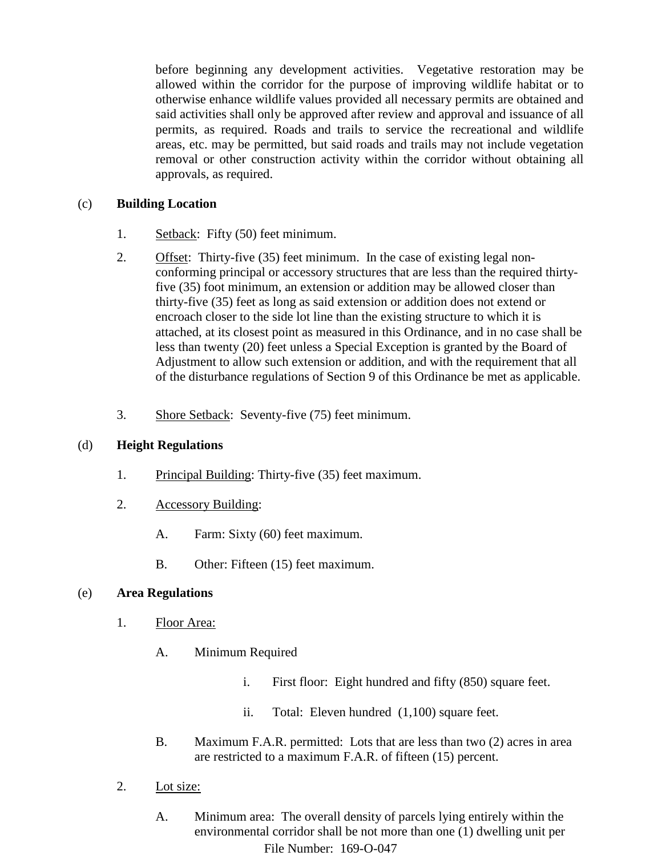before beginning any development activities. Vegetative restoration may be allowed within the corridor for the purpose of improving wildlife habitat or to otherwise enhance wildlife values provided all necessary permits are obtained and said activities shall only be approved after review and approval and issuance of all permits, as required. Roads and trails to service the recreational and wildlife areas, etc. may be permitted, but said roads and trails may not include vegetation removal or other construction activity within the corridor without obtaining all approvals, as required.

## (c) **Building Location**

- 1. Setback: Fifty (50) feet minimum.
- 2. Offset: Thirty-five (35) feet minimum. In the case of existing legal nonconforming principal or accessory structures that are less than the required thirtyfive (35) foot minimum, an extension or addition may be allowed closer than thirty-five (35) feet as long as said extension or addition does not extend or encroach closer to the side lot line than the existing structure to which it is attached, at its closest point as measured in this Ordinance, and in no case shall be less than twenty (20) feet unless a Special Exception is granted by the Board of Adjustment to allow such extension or addition, and with the requirement that all of the disturbance regulations of Section 9 of this Ordinance be met as applicable.
- 3. Shore Setback: Seventy-five (75) feet minimum.

# (d) **Height Regulations**

- 1. Principal Building: Thirty-five (35) feet maximum.
- 2. Accessory Building:
	- A. Farm: Sixty (60) feet maximum.
	- B. Other: Fifteen (15) feet maximum.

## (e) **Area Regulations**

- 1. Floor Area:
	- A. Minimum Required
		- i. First floor: Eight hundred and fifty (850) square feet.
		- ii. Total: Eleven hundred (1,100) square feet.
	- B. Maximum F.A.R. permitted: Lots that are less than two (2) acres in area are restricted to a maximum F.A.R. of fifteen (15) percent.
- 2. Lot size:
	- A. Minimum area: The overall density of parcels lying entirely within the environmental corridor shall be not more than one (1) dwelling unit per File Number: 169-O-047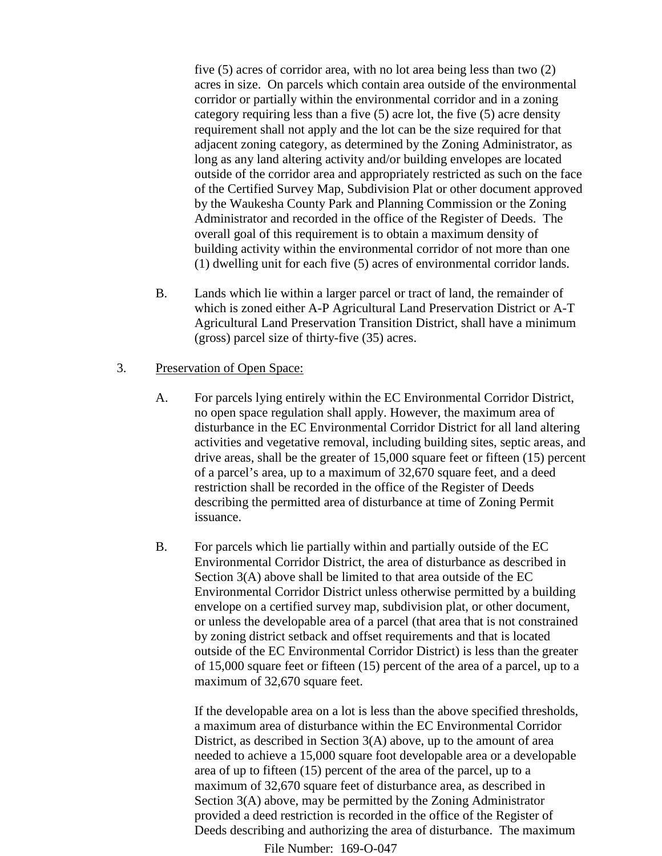five (5) acres of corridor area, with no lot area being less than two (2) acres in size. On parcels which contain area outside of the environmental corridor or partially within the environmental corridor and in a zoning category requiring less than a five (5) acre lot, the five (5) acre density requirement shall not apply and the lot can be the size required for that adjacent zoning category, as determined by the Zoning Administrator, as long as any land altering activity and/or building envelopes are located outside of the corridor area and appropriately restricted as such on the face of the Certified Survey Map, Subdivision Plat or other document approved by the Waukesha County Park and Planning Commission or the Zoning Administrator and recorded in the office of the Register of Deeds. The overall goal of this requirement is to obtain a maximum density of building activity within the environmental corridor of not more than one (1) dwelling unit for each five (5) acres of environmental corridor lands.

B. Lands which lie within a larger parcel or tract of land, the remainder of which is zoned either A-P Agricultural Land Preservation District or A-T Agricultural Land Preservation Transition District, shall have a minimum (gross) parcel size of thirty-five (35) acres.

## 3. Preservation of Open Space:

- A. For parcels lying entirely within the EC Environmental Corridor District, no open space regulation shall apply. However, the maximum area of disturbance in the EC Environmental Corridor District for all land altering activities and vegetative removal, including building sites, septic areas, and drive areas, shall be the greater of 15,000 square feet or fifteen (15) percent of a parcel's area, up to a maximum of 32,670 square feet, and a deed restriction shall be recorded in the office of the Register of Deeds describing the permitted area of disturbance at time of Zoning Permit issuance.
- B. For parcels which lie partially within and partially outside of the EC Environmental Corridor District, the area of disturbance as described in Section 3(A) above shall be limited to that area outside of the EC Environmental Corridor District unless otherwise permitted by a building envelope on a certified survey map, subdivision plat, or other document, or unless the developable area of a parcel (that area that is not constrained by zoning district setback and offset requirements and that is located outside of the EC Environmental Corridor District) is less than the greater of 15,000 square feet or fifteen (15) percent of the area of a parcel, up to a maximum of 32,670 square feet.

If the developable area on a lot is less than the above specified thresholds, a maximum area of disturbance within the EC Environmental Corridor District, as described in Section 3(A) above, up to the amount of area needed to achieve a 15,000 square foot developable area or a developable area of up to fifteen (15) percent of the area of the parcel, up to a maximum of 32,670 square feet of disturbance area, as described in Section 3(A) above, may be permitted by the Zoning Administrator provided a deed restriction is recorded in the office of the Register of Deeds describing and authorizing the area of disturbance. The maximum

File Number: 169-O-047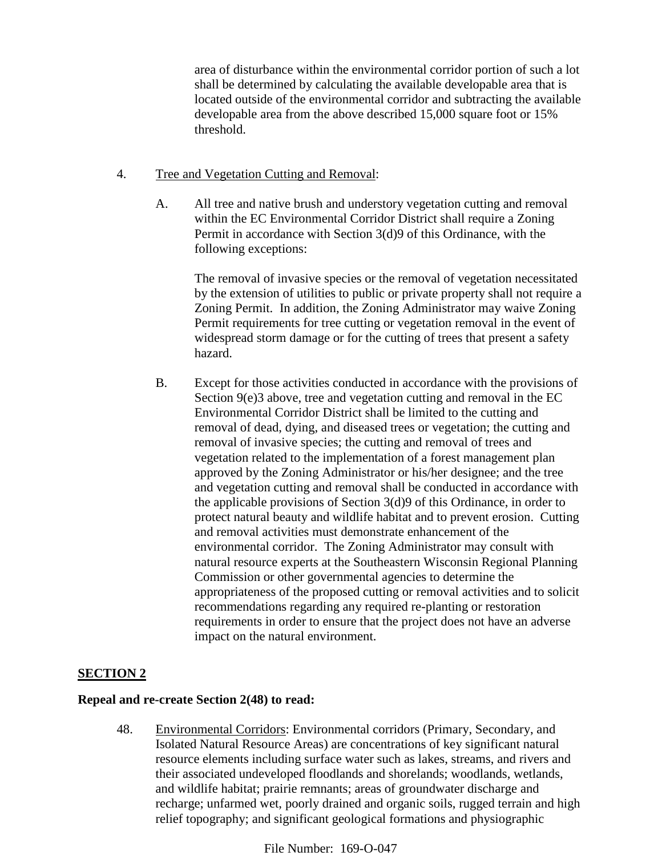area of disturbance within the environmental corridor portion of such a lot shall be determined by calculating the available developable area that is located outside of the environmental corridor and subtracting the available developable area from the above described 15,000 square foot or 15% threshold.

## 4. Tree and Vegetation Cutting and Removal:

A. All tree and native brush and understory vegetation cutting and removal within the EC Environmental Corridor District shall require a Zoning Permit in accordance with Section 3(d)9 of this Ordinance, with the following exceptions:

The removal of invasive species or the removal of vegetation necessitated by the extension of utilities to public or private property shall not require a Zoning Permit. In addition, the Zoning Administrator may waive Zoning Permit requirements for tree cutting or vegetation removal in the event of widespread storm damage or for the cutting of trees that present a safety hazard.

B. Except for those activities conducted in accordance with the provisions of Section 9(e)3 above, tree and vegetation cutting and removal in the EC Environmental Corridor District shall be limited to the cutting and removal of dead, dying, and diseased trees or vegetation; the cutting and removal of invasive species; the cutting and removal of trees and vegetation related to the implementation of a forest management plan approved by the Zoning Administrator or his/her designee; and the tree and vegetation cutting and removal shall be conducted in accordance with the applicable provisions of Section 3(d)9 of this Ordinance, in order to protect natural beauty and wildlife habitat and to prevent erosion. Cutting and removal activities must demonstrate enhancement of the environmental corridor. The Zoning Administrator may consult with natural resource experts at the Southeastern Wisconsin Regional Planning Commission or other governmental agencies to determine the appropriateness of the proposed cutting or removal activities and to solicit recommendations regarding any required re-planting or restoration requirements in order to ensure that the project does not have an adverse impact on the natural environment.

# **SECTION 2**

## **Repeal and re-create Section 2(48) to read:**

48. Environmental Corridors: Environmental corridors (Primary, Secondary, and Isolated Natural Resource Areas) are concentrations of key significant natural resource elements including surface water such as lakes, streams, and rivers and their associated undeveloped floodlands and shorelands; woodlands, wetlands, and wildlife habitat; prairie remnants; areas of groundwater discharge and recharge; unfarmed wet, poorly drained and organic soils, rugged terrain and high relief topography; and significant geological formations and physiographic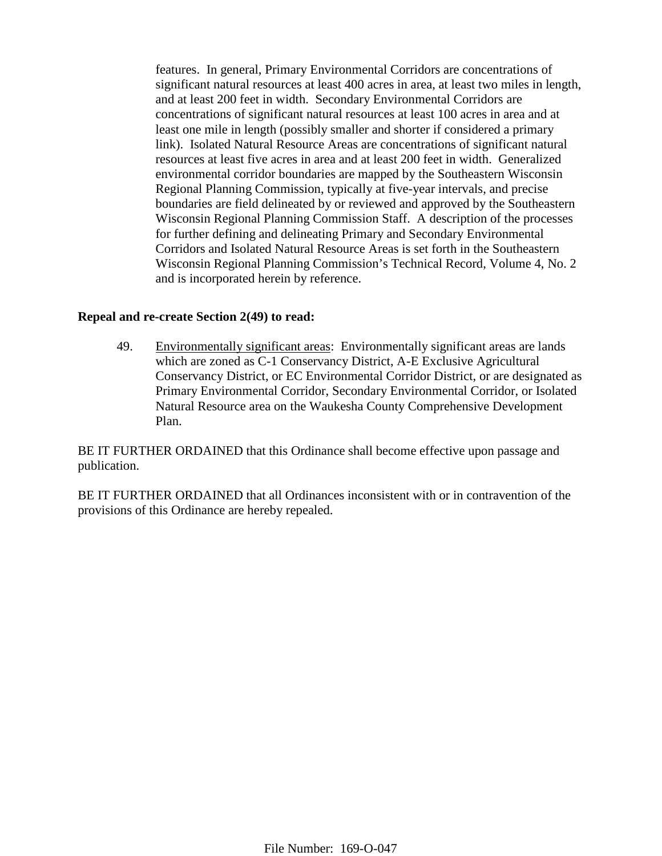features. In general, Primary Environmental Corridors are concentrations of significant natural resources at least 400 acres in area, at least two miles in length, and at least 200 feet in width. Secondary Environmental Corridors are concentrations of significant natural resources at least 100 acres in area and at least one mile in length (possibly smaller and shorter if considered a primary link). Isolated Natural Resource Areas are concentrations of significant natural resources at least five acres in area and at least 200 feet in width. Generalized environmental corridor boundaries are mapped by the Southeastern Wisconsin Regional Planning Commission, typically at five-year intervals, and precise boundaries are field delineated by or reviewed and approved by the Southeastern Wisconsin Regional Planning Commission Staff. A description of the processes for further defining and delineating Primary and Secondary Environmental Corridors and Isolated Natural Resource Areas is set forth in the Southeastern Wisconsin Regional Planning Commission's Technical Record, Volume 4, No. 2 and is incorporated herein by reference.

#### **Repeal and re-create Section 2(49) to read:**

49. Environmentally significant areas: Environmentally significant areas are lands which are zoned as C-1 Conservancy District, A-E Exclusive Agricultural Conservancy District, or EC Environmental Corridor District, or are designated as Primary Environmental Corridor, Secondary Environmental Corridor, or Isolated Natural Resource area on the Waukesha County Comprehensive Development Plan.

BE IT FURTHER ORDAINED that this Ordinance shall become effective upon passage and publication.

BE IT FURTHER ORDAINED that all Ordinances inconsistent with or in contravention of the provisions of this Ordinance are hereby repealed.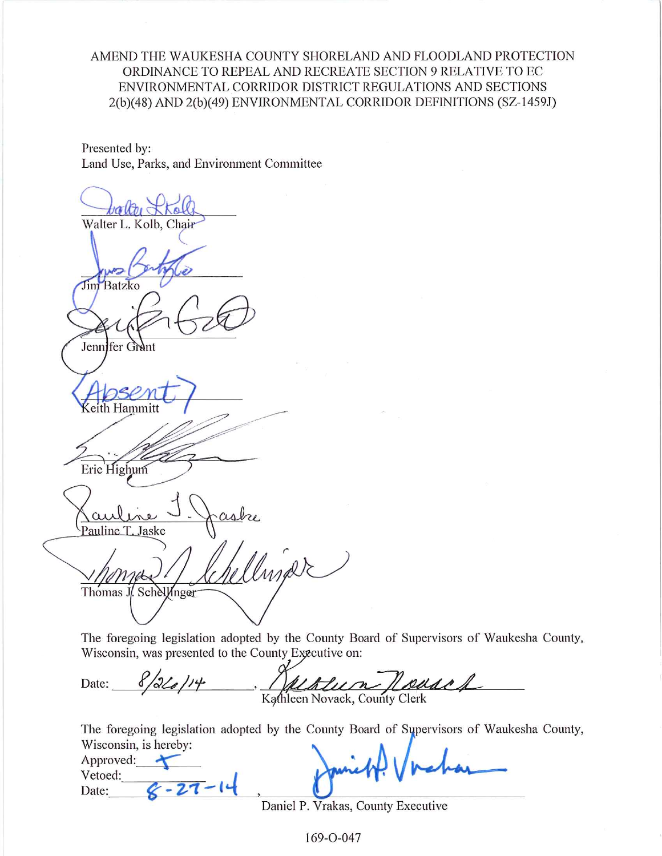AMEND THE WAUKESHA COUNTY SHORELAND AND FLOODLAND PROTECTION ORDINANCE TO REPEAL AND RECREATE SECTION 9 RELATIVE TO EC ENVIRONMENTAL CORRIDOR DISTRICT REGULATIONS AND SECTIONS 2(b)(48) AND 2(b)(49) ENVIRONMENTAL CORRIDOR DEFINITIONS (SZ-1459J)

Presented by: Land Use, Parks, and Environment Committee

Walter L. Kolb, Chair **Jim** Batzko Jenni fer Grant Eric Highum Pauline T. Jaske Insalt Thomas J. Schellinger

The foregoing legislation adopted by the County Board of Supervisors of Waukesha County, Wisconsin, was presented to the County Executive on:

| Date: | 8/2/2/14 | .<br>(Albert Nouset           |
|-------|----------|-------------------------------|
|       |          | Kathleen Novack, County Clerk |

The foregoing legislation adopted by the County Board of Supervisors of Waukesha County, Wisconsin is hereby:

| WISCONSIN, IS RETURN.<br>Approved:<br>Vetoed:<br>Date: | Jamett! Vichar |  |
|--------------------------------------------------------|----------------|--|
|                                                        |                |  |

Daniel P. Vrakas, County Executive

169-0-047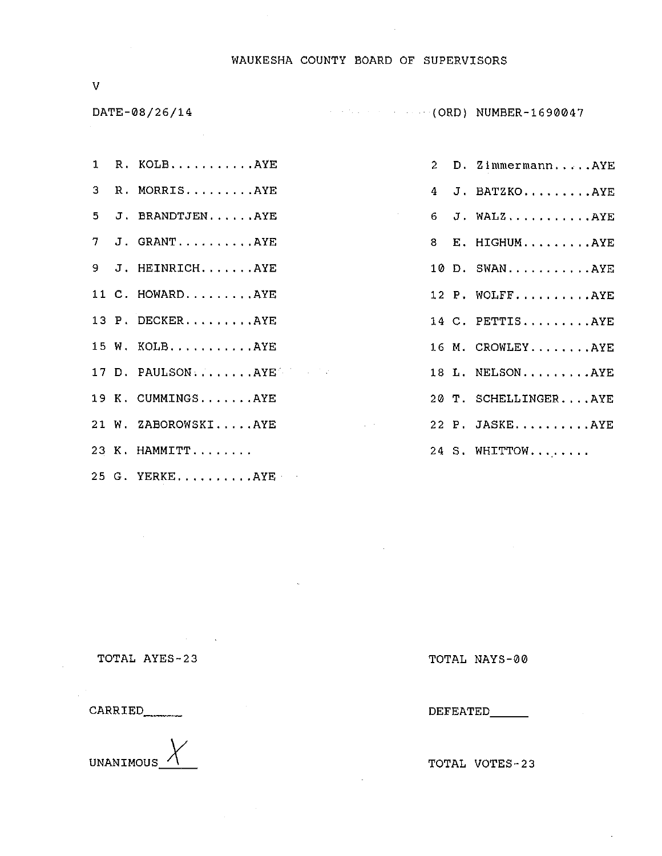#### WAUKESHA COUNTY BOARD OF SUPERVISORS

 $\mathcal{L}^{\text{max}}(\mathcal{L}^{\text{max}})$ 

 $\mathcal{L}^{\mathcal{L}}$  .

 $\overline{V}$ 

DATE-08/26/14

MUMBER-1690047

|  | 1 R. KOLBAYE        |
|--|---------------------|
|  | 3 R. MORRISAYE      |
|  | 5 J. BRANDTJENAYE   |
|  | 7 J. GRANTAYE       |
|  | 9 J. HEINRICHAYE    |
|  | 11 C. HOWARDAYE     |
|  | 13 P. DECKERAYE     |
|  | 15 W. KOLB.  AYE    |
|  | 17 D. PAULSONAYE    |
|  | 19 K. CUMMINGSAYE   |
|  | 21 W. ZABOROWSKIAYE |
|  | 23 K. HAMMITT       |
|  |                     |

25 G. YERKE..........AYE

2 D. Zimmermann.....AYE 4 J. BATZKO.........AYE  $6$  J. WALZ...........AYE 8 E. HIGHUM.........AYE 10 D. SWAN...........AYE 12 P. WOLFF..........AYE 14 C. PETTIS.........AYE 16 M. CROWLEY........AYE 18 L. NELSON.........AYE 20 T. SCHELLINGER....AYE 22 P. JASKE. ......... AYE 24 S. WHITTOW........

TOTAL AYES-23

CARRIED\_\_\_\_\_\_\_



TOTAL NAYS-00

DEFEATED\_\_\_\_\_\_

TOTAL VOTES-23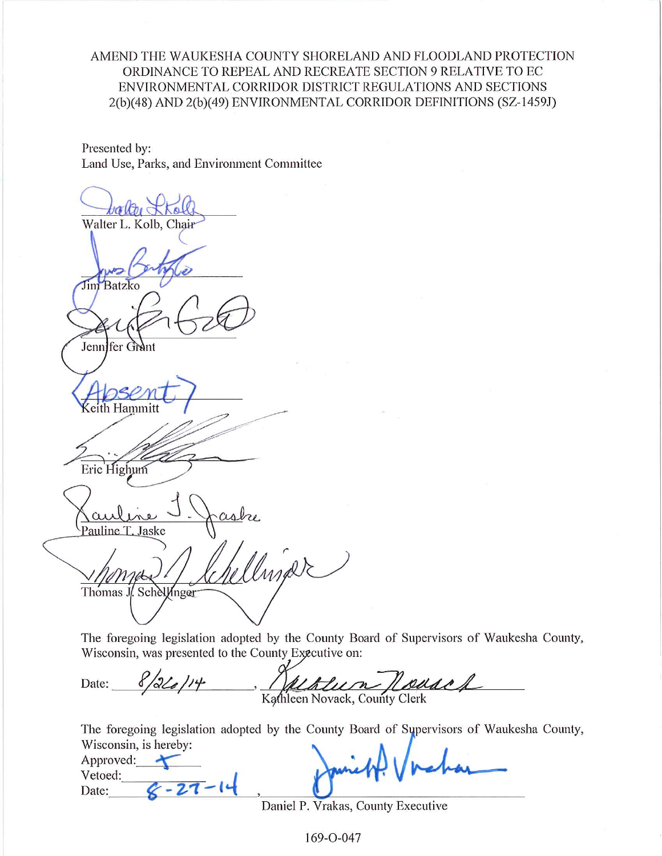AMEND THE WAUKESHA COUNTY SHORELAND AND FLOODLAND PROTECTION ORDINANCE TO REPEAL AND RECREATE SECTION 9 RELATIVE TO EC ENVIRONMENTAL CORRIDOR DISTRICT REGULATIONS AND SECTIONS 2(b)(48) AND 2(b)(49) ENVIRONMENTAL CORRIDOR DEFINITIONS (SZ-1459J)

Presented by: Land Use, Parks, and Environment Committee

Walter L. Kolb, Chair **Jim** Batzko Jenni fer Grant Eric Highum Pauline T. Jaske Insalt Thomas J. Schellinger

The foregoing legislation adopted by the County Board of Supervisors of Waukesha County, Wisconsin, was presented to the County Executive on:

| Date: | 8/2/2/14 | .<br>(Albert Nouset           |
|-------|----------|-------------------------------|
|       |          | Kathleen Novack, County Clerk |

The foregoing legislation adopted by the County Board of Supervisors of Waukesha County, Wisconsin is hereby:

| WISCONSIN, IS RETURN.<br>Approved:<br>Vetoed:<br>Date: | Jamett! Vichar |  |
|--------------------------------------------------------|----------------|--|
|                                                        |                |  |

Daniel P. Vrakas, County Executive

169-0-047